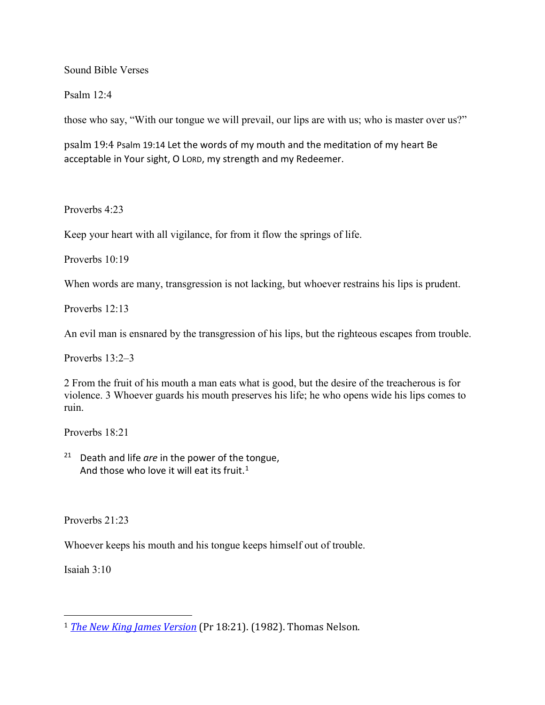Sound Bible Verses

Psalm 12:4

those who say, "With our tongue we will prevail, our lips are with us; who is master over us?"

psalm 19:4 Psalm 19:14 Let the words of my mouth and the meditation of my heart Be acceptable in Your sight, O LORD, my strength and my Redeemer.

Proverbs 4:23

Keep your heart with all vigilance, for from it flow the springs of life.

Proverbs 10:19

When words are many, transgression is not lacking, but whoever restrains his lips is prudent.

Proverbs 12:13

An evil man is ensnared by the transgression of his lips, but the righteous escapes from trouble.

Proverbs 13:2–3

2 From the fruit of his mouth a man eats what is good, but the desire of the treacherous is for violence. 3 Whoever guards his mouth preserves his life; he who opens wide his lips comes to ruin.

Proverbs 18:21

<sup>21</sup> Death and life *are* in the power of the tongue, And those who love it will eat its fruit.<sup>[1](#page-0-0)</sup>

Proverbs 21:23

Whoever keeps his mouth and his tongue keeps himself out of trouble.

Isaiah 3:10

<span id="page-0-0"></span> <sup>1</sup> *[The New King James Version](https://ref.ly/logosres/nkjv?ref=BibleNKJV.Pr18.21&off=0&ctx=he+shall+be+filled.%0a%7E21+m%EF%BB%BFDeath+and+life+)* (Pr 18:21). (1982). Thomas Nelson.